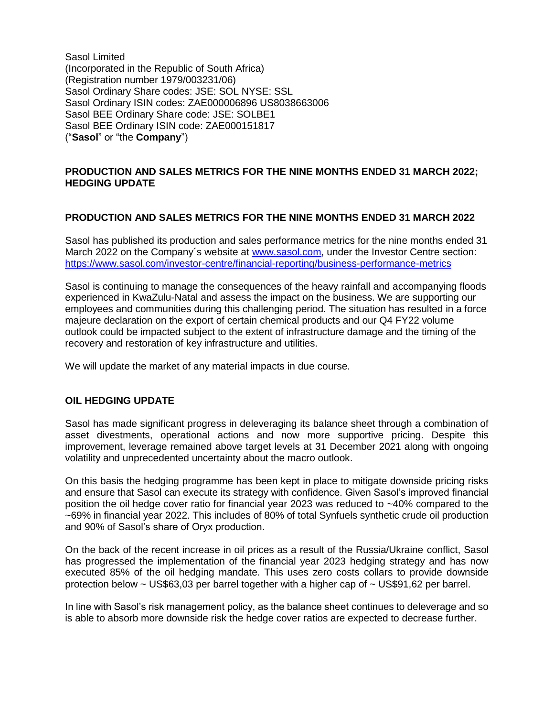Sasol Limited (Incorporated in the Republic of South Africa) (Registration number 1979/003231/06) Sasol Ordinary Share codes: JSE: SOL NYSE: SSL Sasol Ordinary ISIN codes: ZAE000006896 US8038663006 Sasol BEE Ordinary Share code: JSE: SOLBE1 Sasol BEE Ordinary ISIN code: ZAE000151817 ("**Sasol**" or "the **Company**")

## **PRODUCTION AND SALES METRICS FOR THE NINE MONTHS ENDED 31 MARCH 2022; HEDGING UPDATE**

## **PRODUCTION AND SALES METRICS FOR THE NINE MONTHS ENDED 31 MARCH 2022**

Sasol has published its production and sales performance metrics for the nine months ended 31 March 2022 on the Company´s website at [www.sasol.com,](http://www.sasol.com/) under the Investor Centre section: <https://www.sasol.com/investor-centre/financial-reporting/business-performance-metrics>

Sasol is continuing to manage the consequences of the heavy rainfall and accompanying floods experienced in KwaZulu-Natal and assess the impact on the business. We are supporting our employees and communities during this challenging period. The situation has resulted in a force majeure declaration on the export of certain chemical products and our Q4 FY22 volume outlook could be impacted subject to the extent of infrastructure damage and the timing of the recovery and restoration of key infrastructure and utilities.

We will update the market of any material impacts in due course.

## **OIL HEDGING UPDATE**

Sasol has made significant progress in deleveraging its balance sheet through a combination of asset divestments, operational actions and now more supportive pricing. Despite this improvement, leverage remained above target levels at 31 December 2021 along with ongoing volatility and unprecedented uncertainty about the macro outlook.

On this basis the hedging programme has been kept in place to mitigate downside pricing risks and ensure that Sasol can execute its strategy with confidence. Given Sasol's improved financial position the oil hedge cover ratio for financial year 2023 was reduced to ~40% compared to the ~69% in financial year 2022. This includes of 80% of total Synfuels synthetic crude oil production and 90% of Sasol's share of Oryx production.

On the back of the recent increase in oil prices as a result of the Russia/Ukraine conflict, Sasol has progressed the implementation of the financial year 2023 hedging strategy and has now executed 85% of the oil hedging mandate. This uses zero costs collars to provide downside protection below  $\sim$  US\$63,03 per barrel together with a higher cap of  $\sim$  US\$91,62 per barrel.

In line with Sasol's risk management policy, as the balance sheet continues to deleverage and so is able to absorb more downside risk the hedge cover ratios are expected to decrease further.